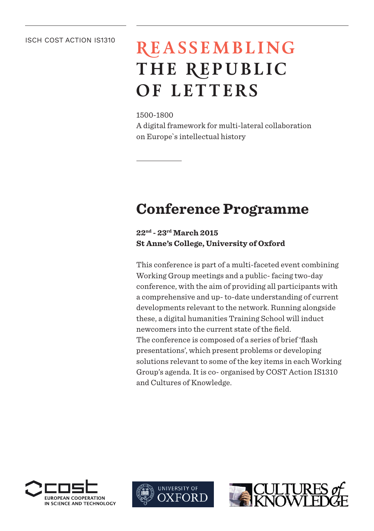#### ISCH COST ACTION IS1310

# **REASSEMBLING THE REPUBLIC OF LETTERS**

1500-1800

A digital framework for multi-lateral collaboration on Europe`s intellectual history

## **Conference Programme**

**22nd - 23rd March 2015 St Anne's College, University of Oxford**

This conference is part of a multi-faceted event combining Working Group meetings and a public- facing two-day conference, with the aim of providing all participants with a comprehensive and up- to-date understanding of current developments relevant to the network. Running alongside these, a digital humanities Training School will induct newcomers into the current state of the field. The conference is composed of a series of brief 'flash presentations', which present problems or developing solutions relevant to some of the key items in each Working Group's agenda. It is co- organised by COST Action IS1310 and Cultures of Knowledge.





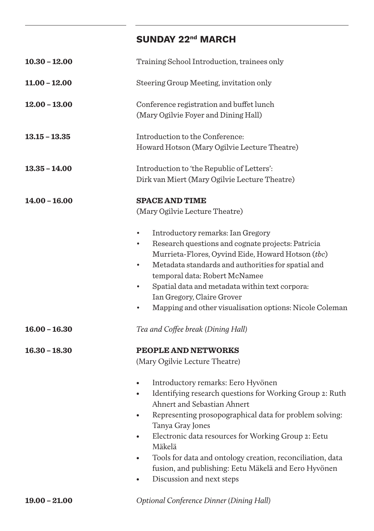### **SUNDAY 22nd MARCH**

| $10.30 - 12.00$ | Training School Introduction, trainees only                                                                                                                                                                                                                                                                                                                                                                                                                                                                                                                     |
|-----------------|-----------------------------------------------------------------------------------------------------------------------------------------------------------------------------------------------------------------------------------------------------------------------------------------------------------------------------------------------------------------------------------------------------------------------------------------------------------------------------------------------------------------------------------------------------------------|
| $11.00 - 12.00$ | Steering Group Meeting, invitation only                                                                                                                                                                                                                                                                                                                                                                                                                                                                                                                         |
| $12.00 - 13.00$ | Conference registration and buffet lunch<br>(Mary Ogilvie Foyer and Dining Hall)                                                                                                                                                                                                                                                                                                                                                                                                                                                                                |
| $13.15 - 13.35$ | Introduction to the Conference:<br>Howard Hotson (Mary Ogilvie Lecture Theatre)                                                                                                                                                                                                                                                                                                                                                                                                                                                                                 |
| $13.35 - 14.00$ | Introduction to 'the Republic of Letters':<br>Dirk van Miert (Mary Ogilvie Lecture Theatre)                                                                                                                                                                                                                                                                                                                                                                                                                                                                     |
| $14.00 - 16.00$ | <b>SPACE AND TIME</b><br>(Mary Ogilvie Lecture Theatre)<br>Introductory remarks: Ian Gregory<br>$\bullet$<br>Research questions and cognate projects: Patricia<br>$\bullet$<br>Murrieta-Flores, Oyvind Eide, Howard Hotson (tbc)<br>Metadata standards and authorities for spatial and<br>$\bullet$<br>temporal data: Robert McNamee<br>Spatial data and metadata within text corpora:<br>$\bullet$<br>Ian Gregory, Claire Grover<br>Mapping and other visualisation options: Nicole Coleman<br>$\bullet$                                                       |
| $16.00 - 16.30$ | Tea and Coffee break (Dining Hall)                                                                                                                                                                                                                                                                                                                                                                                                                                                                                                                              |
| $16.30 - 18.30$ | PEOPLE AND NETWORKS<br>(Mary Ogilvie Lecture Theatre)<br>Introductory remarks: Eero Hyvönen<br>$\bullet$<br>Identifying research questions for Working Group 2: Ruth<br>$\bullet$<br>Ahnert and Sebastian Ahnert<br>Representing prosopographical data for problem solving:<br>$\bullet$<br>Tanya Gray Jones<br>Electronic data resources for Working Group 2: Eetu<br>$\bullet$<br>Mäkelä<br>Tools for data and ontology creation, reconciliation, data<br>٠<br>fusion, and publishing: Eetu Mäkelä and Eero Hyvönen<br>Discussion and next steps<br>$\bullet$ |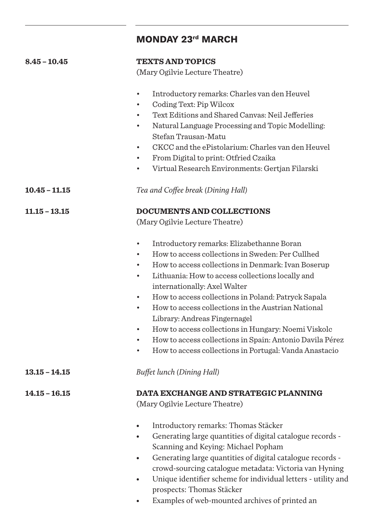|                 | <b>MONDAY 23rd MARCH</b>                                                                                                |
|-----------------|-------------------------------------------------------------------------------------------------------------------------|
| $8.45 - 10.45$  | <b>TEXTS AND TOPICS</b><br>(Mary Ogilvie Lecture Theatre)                                                               |
|                 |                                                                                                                         |
|                 | Introductory remarks: Charles van den Heuvel<br>$\bullet$                                                               |
|                 | Coding Text: Pip Wilcox                                                                                                 |
|                 | Text Editions and Shared Canvas: Neil Jefferies                                                                         |
|                 | Natural Language Processing and Topic Modelling:<br>$\bullet$<br>Stefan Trausan-Matu                                    |
|                 | CKCC and the ePistolarium: Charles van den Heuvel                                                                       |
|                 | From Digital to print: Otfried Czaika<br>$\bullet$                                                                      |
|                 | Virtual Research Environments: Gertjan Filarski<br>$\bullet$                                                            |
|                 |                                                                                                                         |
| $10.45 - 11.15$ | Tea and Coffee break (Dining Hall)                                                                                      |
| $11.15 - 13.15$ | <b>DOCUMENTS AND COLLECTIONS</b>                                                                                        |
|                 | (Mary Ogilvie Lecture Theatre)                                                                                          |
|                 | Introductory remarks: Elizabethanne Boran                                                                               |
|                 | How to access collections in Sweden: Per Cullhed<br>$\bullet$                                                           |
|                 | How to access collections in Denmark: Ivan Boserup<br>$\bullet$                                                         |
|                 | Lithuania: How to access collections locally and<br>internationally: Axel Walter                                        |
|                 | How to access collections in Poland: Patryck Sapala<br>$\bullet$                                                        |
|                 | How to access collections in the Austrian National<br>$\bullet$                                                         |
|                 | Library: Andreas Fingernagel                                                                                            |
|                 | How to access collections in Hungary: Noemi Viskolc<br>$\bullet$                                                        |
|                 | How to access collections in Spain: Antonio Davila Pérez<br>$\bullet$                                                   |
|                 | How to access collections in Portugal: Vanda Anastacio<br>$\bullet$                                                     |
| $13.15 - 14.15$ | Buffet lunch (Dining Hall)                                                                                              |
| $14.15 - 16.15$ | DATA EXCHANGE AND STRATEGIC PLANNING                                                                                    |
|                 | (Mary Ogilvie Lecture Theatre)                                                                                          |
|                 | Introductory remarks: Thomas Stäcker<br>$\bullet$                                                                       |
|                 | Generating large quantities of digital catalogue records -<br>$\bullet$                                                 |
|                 | Scanning and Keying: Michael Popham                                                                                     |
|                 | Generating large quantities of digital catalogue records -<br>$\bullet$                                                 |
|                 | crowd-sourcing catalogue metadata: Victoria van Hyning<br>Unique identifier scheme for individual letters - utility and |
|                 | prospects: Thomas Stäcker                                                                                               |

• Examples of web-mounted archives of printed an